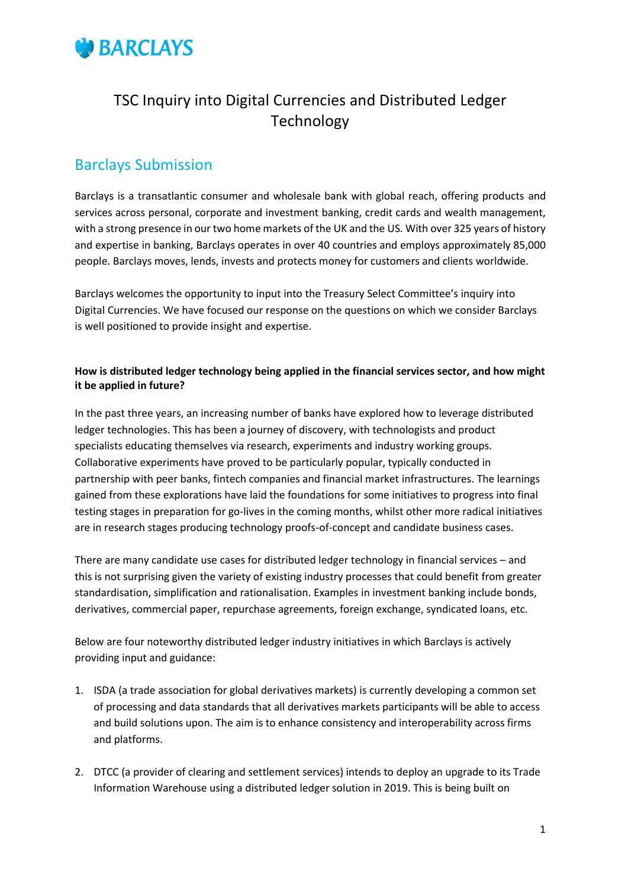

# TSC Inquiry into Digital Currencies and Distributed Ledger Technology

## Barclays Submission

Barclays is a transatlantic consumer and wholesale bank with global reach, offering products and services across personal, corporate and investment banking, credit cards and wealth management, with a strong presence in our two home markets of the UK and the US. With over 325 years of history and expertise in banking, Barclays operates in over 40 countries and employs approximately 85,000 people. Barclays moves, lends, invests and protects money for customers and clients worldwide.

Barclays welcomes the opportunity to input into the Treasury Select Committee's inquiry into Digital Currencies. We have focused our response on the questions on which we consider Barclays is well positioned to provide insight and expertise.

#### **How is distributed ledger technology being applied in the financial services sector, and how might it be applied in future?**

In the past three years, an increasing number of banks have explored how to leverage distributed ledger technologies. This has been a journey of discovery, with technologists and product specialists educating themselves via research, experiments and industry working groups. Collaborative experiments have proved to be particularly popular, typically conducted in partnership with peer banks, fintech companies and financial market infrastructures. The learnings gained from these explorations have laid the foundations for some initiatives to progress into final testing stages in preparation for go-lives in the coming months, whilst other more radical initiatives are in research stages producing technology proofs-of-concept and candidate business cases.

There are many candidate use cases for distributed ledger technology in financial services – and this is not surprising given the variety of existing industry processes that could benefit from greater standardisation, simplification and rationalisation. Examples in investment banking include bonds, derivatives, commercial paper, repurchase agreements, foreign exchange, syndicated loans, etc.

Below are four noteworthy distributed ledger industry initiatives in which Barclays is actively providing input and guidance:

- 1. ISDA (a trade association for global derivatives markets) is currently developing a common set of processing and data standards that all derivatives markets participants will be able to access and build solutions upon. The aim is to enhance consistency and interoperability across firms and platforms.
- 2. DTCC (a provider of clearing and settlement services) intends to deploy an upgrade to its Trade Information Warehouse using a distributed ledger solution in 2019. This is being built on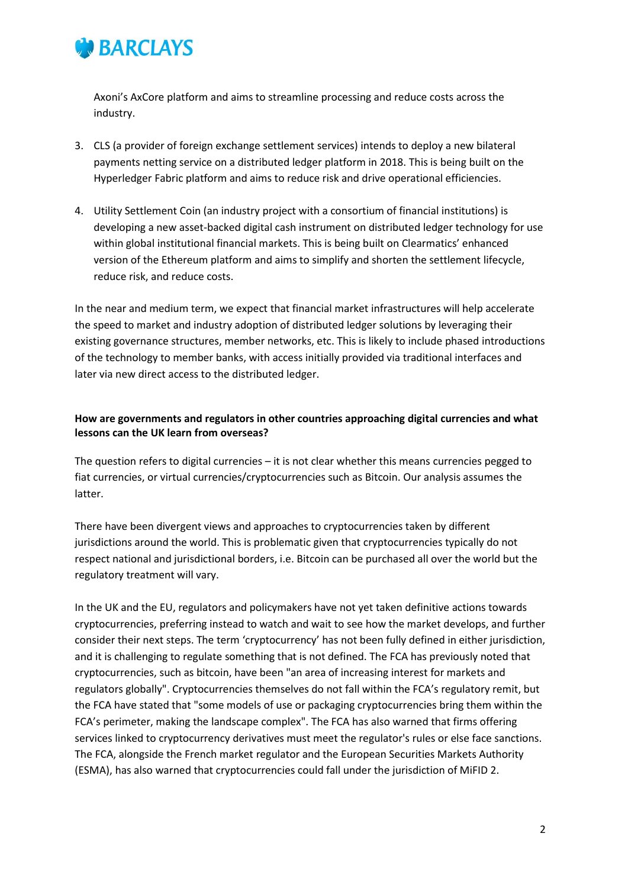

Axoni's AxCore platform and aims to streamline processing and reduce costs across the industry.

- 3. CLS (a provider of foreign exchange settlement services) intends to deploy a new bilateral payments netting service on a distributed ledger platform in 2018. This is being built on the Hyperledger Fabric platform and aims to reduce risk and drive operational efficiencies.
- 4. Utility Settlement Coin (an industry project with a consortium of financial institutions) is developing a new asset-backed digital cash instrument on distributed ledger technology for use within global institutional financial markets. This is being built on Clearmatics' enhanced version of the Ethereum platform and aims to simplify and shorten the settlement lifecycle, reduce risk, and reduce costs.

In the near and medium term, we expect that financial market infrastructures will help accelerate the speed to market and industry adoption of distributed ledger solutions by leveraging their existing governance structures, member networks, etc. This is likely to include phased introductions of the technology to member banks, with access initially provided via traditional interfaces and later via new direct access to the distributed ledger.

#### **How are governments and regulators in other countries approaching digital currencies and what lessons can the UK learn from overseas?**

The question refers to digital currencies – it is not clear whether this means currencies pegged to fiat currencies, or virtual currencies/cryptocurrencies such as Bitcoin. Our analysis assumes the latter.

There have been divergent views and approaches to cryptocurrencies taken by different jurisdictions around the world. This is problematic given that cryptocurrencies typically do not respect national and jurisdictional borders, i.e. Bitcoin can be purchased all over the world but the regulatory treatment will vary.

In the UK and the EU, regulators and policymakers have not yet taken definitive actions towards cryptocurrencies, preferring instead to watch and wait to see how the market develops, and further consider their next steps. The term 'cryptocurrency' has not been fully defined in either jurisdiction, and it is challenging to regulate something that is not defined. The FCA has previously noted that cryptocurrencies, such as bitcoin, have been "an area of increasing interest for markets and regulators globally". Cryptocurrencies themselves do not fall within the FCA's regulatory remit, but the FCA have stated that "some models of use or packaging cryptocurrencies bring them within the FCA's perimeter, making the landscape complex". The FCA has also warned that firms offering services linked to cryptocurrency derivatives must meet the regulator's rules or else face sanctions. The FCA, alongside the French market regulator and the European Securities Markets Authority (ESMA), has also warned that cryptocurrencies could fall under the jurisdiction of MiFID 2.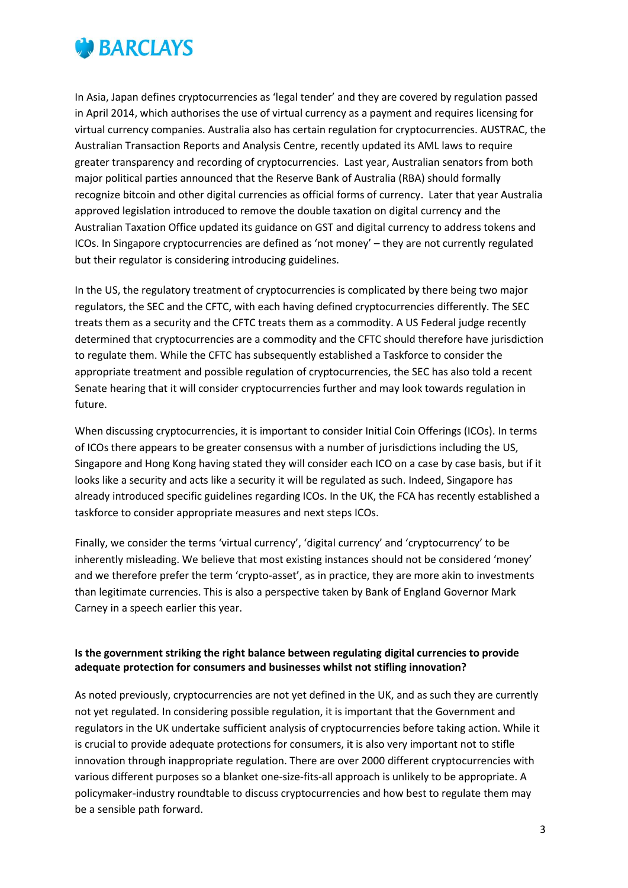

In Asia, Japan defines cryptocurrencies as 'legal tender' and they are covered by regulation passed in April 2014, which authorises the use of virtual currency as a payment and requires licensing for virtual currency companies. Australia also has certain regulation for cryptocurrencies. AUSTRAC, the Australian Transaction Reports and Analysis Centre, recently updated its AML laws to require greater transparency and recording of cryptocurrencies. Last year, Australian senators from both major political parties announced that the Reserve Bank of Australia (RBA) should formally recognize bitcoin and other digital currencies as official forms of currency. Later that year Australia approved legislation introduced to remove the double taxation on digital currency and the Australian Taxation Office updated its guidance on GST and digital currency to address tokens and ICOs. In Singapore cryptocurrencies are defined as 'not money' – they are not currently regulated but their regulator is considering introducing guidelines.

In the US, the regulatory treatment of cryptocurrencies is complicated by there being two major regulators, the SEC and the CFTC, with each having defined cryptocurrencies differently. The SEC treats them as a security and the CFTC treats them as a commodity. A US Federal judge recently determined that cryptocurrencies are a commodity and the CFTC should therefore have jurisdiction to regulate them. While the CFTC has subsequently established a Taskforce to consider the appropriate treatment and possible regulation of cryptocurrencies, the SEC has also told a recent Senate hearing that it will consider cryptocurrencies further and may look towards regulation in future.

When discussing cryptocurrencies, it is important to consider Initial Coin Offerings (ICOs). In terms of ICOs there appears to be greater consensus with a number of jurisdictions including the US, Singapore and Hong Kong having stated they will consider each ICO on a case by case basis, but if it looks like a security and acts like a security it will be regulated as such. Indeed, Singapore has already introduced specific guidelines regarding ICOs. In the UK, the FCA has recently established a taskforce to consider appropriate measures and next steps ICOs.

Finally, we consider the terms 'virtual currency', 'digital currency' and 'cryptocurrency' to be inherently misleading. We believe that most existing instances should not be considered 'money' and we therefore prefer the term 'crypto-asset', as in practice, they are more akin to investments than legitimate currencies. This is also a perspective taken by Bank of England Governor Mark Carney in a speech earlier this year.

#### **Is the government striking the right balance between regulating digital currencies to provide adequate protection for consumers and businesses whilst not stifling innovation?**

As noted previously, cryptocurrencies are not yet defined in the UK, and as such they are currently not yet regulated. In considering possible regulation, it is important that the Government and regulators in the UK undertake sufficient analysis of cryptocurrencies before taking action. While it is crucial to provide adequate protections for consumers, it is also very important not to stifle innovation through inappropriate regulation. There are over 2000 different cryptocurrencies with various different purposes so a blanket one-size-fits-all approach is unlikely to be appropriate. A policymaker-industry roundtable to discuss cryptocurrencies and how best to regulate them may be a sensible path forward.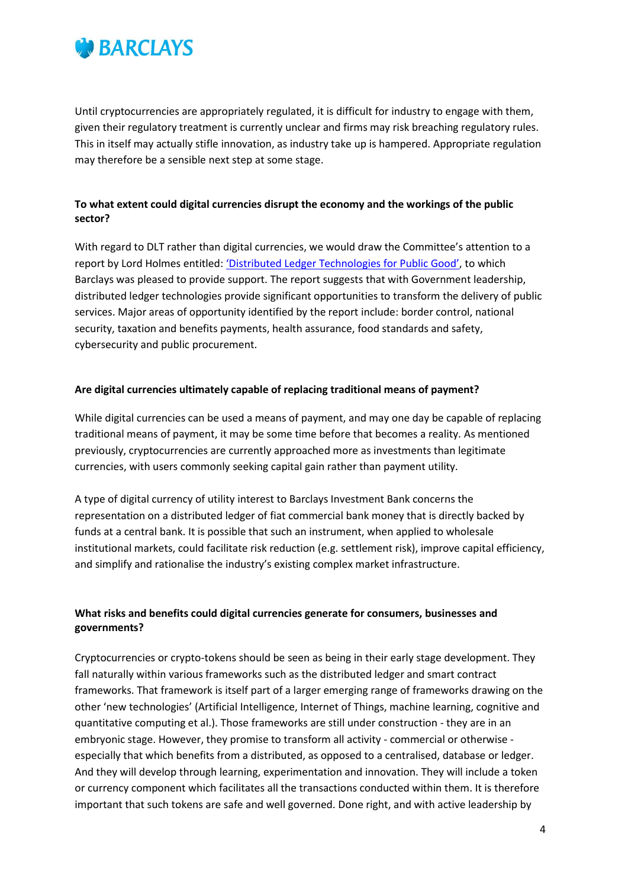

Until cryptocurrencies are appropriately regulated, it is difficult for industry to engage with them, given their regulatory treatment is currently unclear and firms may risk breaching regulatory rules. This in itself may actually stifle innovation, as industry take up is hampered. Appropriate regulation may therefore be a sensible next step at some stage.

### **To what extent could digital currencies disrupt the economy and the workings of the public sector?**

With regard to DLT rather than digital currencies, we would draw the Committee's attention to a report by Lord Holmes entitled: 'Distributed Ledger Te[chnologies for Public Good'](http://chrisholmes.co.uk/wp-content/uploads/2017/11/Distributed-Ledger-Technologies-for-Public-Good_leadership-collaboration-and-innovation.pdf), to which Barclays was pleased to provide support. The report suggests that with Government leadership, distributed ledger technologies provide significant opportunities to transform the delivery of public services. Major areas of opportunity identified by the report include: border control, national security, taxation and benefits payments, health assurance, food standards and safety, cybersecurity and public procurement.

#### **Are digital currencies ultimately capable of replacing traditional means of payment?**

While digital currencies can be used a means of payment, and may one day be capable of replacing traditional means of payment, it may be some time before that becomes a reality. As mentioned previously, cryptocurrencies are currently approached more as investments than legitimate currencies, with users commonly seeking capital gain rather than payment utility.

A type of digital currency of utility interest to Barclays Investment Bank concerns the representation on a distributed ledger of fiat commercial bank money that is directly backed by funds at a central bank. It is possible that such an instrument, when applied to wholesale institutional markets, could facilitate risk reduction (e.g. settlement risk), improve capital efficiency, and simplify and rationalise the industry's existing complex market infrastructure.

#### **What risks and benefits could digital currencies generate for consumers, businesses and governments?**

Cryptocurrencies or crypto-tokens should be seen as being in their early stage development. They fall naturally within various frameworks such as the distributed ledger and smart contract frameworks. That framework is itself part of a larger emerging range of frameworks drawing on the other 'new technologies' (Artificial Intelligence, Internet of Things, machine learning, cognitive and quantitative computing et al.). Those frameworks are still under construction - they are in an embryonic stage. However, they promise to transform all activity - commercial or otherwise especially that which benefits from a distributed, as opposed to a centralised, database or ledger. And they will develop through learning, experimentation and innovation. They will include a token or currency component which facilitates all the transactions conducted within them. It is therefore important that such tokens are safe and well governed. Done right, and with active leadership by